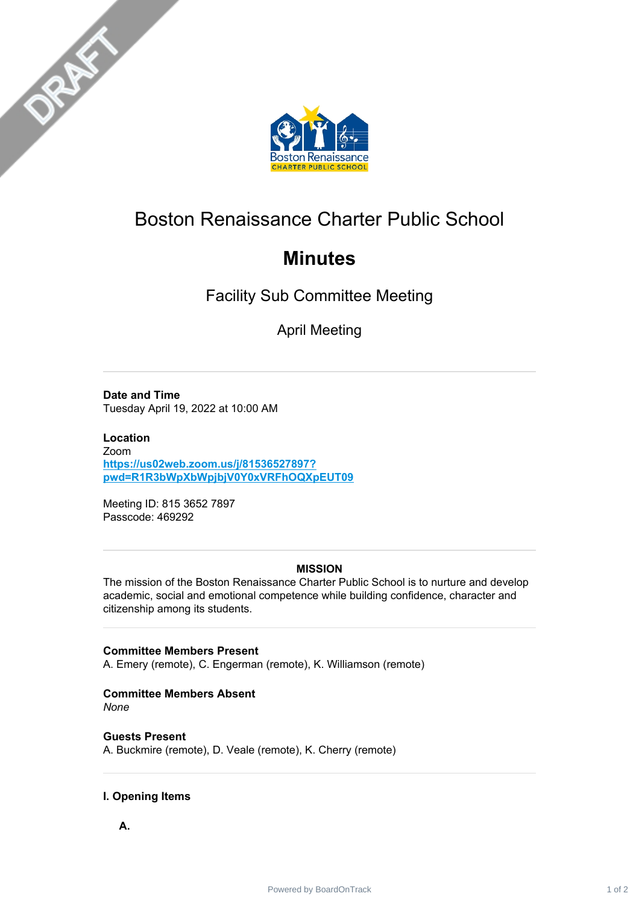



# Boston Renaissance Charter Public School

# **Minutes**

Facility Sub Committee Meeting

April Meeting

**Date and Time** Tuesday April 19, 2022 at 10:00 AM

**Location** Zoom **[https://us02web.zoom.us/j/81536527897?](http://botclick.boardontrack.com/track/click/30933160/us02web.zoom.us?p=eyJzIjoiX2w5MWlkOWw4WTQ1NzhKcFVReEhWUnRhRk9nIiwidiI6MSwicCI6IntcInVcIjozMDkzMzE2MCxcInZcIjoxLFwidXJsXCI6XCJodHRwczpcXFwvXFxcL3VzMDJ3ZWIuem9vbS51c1xcXC9qXFxcLzgxNTM2NTI3ODk3P3B3ZD1SMVIzYldwWGJXcGpialYwWTB4VlJGaE9RWHBFVVQwOVwiLFwiaWRcIjpcIjAyZTFhZDhjYWM5YjQwODg5OTAwYTM3NzIzZDQ4YWFiXCIsXCJ1cmxfaWRzXCI6W1wiOWVhODU3MjA3Mjc1YTE4NDE1NzBjNDJkOTg0ZjQ4NGFiNmQ4ZGFkMlwiXX0ifQ) pwd=R1R3bWpXbWpjbjV0Y0xVRFhOQXpEUT09**

Meeting ID: 815 3652 7897 Passcode: 469292

## **MISSION**

The mission of the Boston Renaissance Charter Public School is to nurture and develop academic, social and emotional competence while building confidence, character and citizenship among its students.

### **Committee Members Present**

A. Emery (remote), C. Engerman (remote), K. Williamson (remote)

# **Committee Members Absent**

*None*

**Guests Present** A. Buckmire (remote), D. Veale (remote), K. Cherry (remote)

### **I. Opening Items**

**A.**